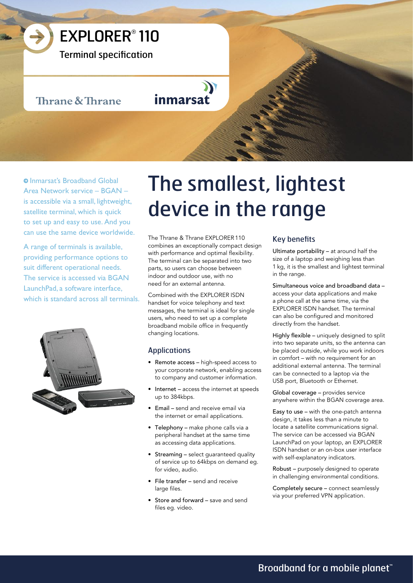

Terminal specification

# Thrane & Thrane

inmarsat

**O** Inmarsat's Broadband Global Area Network service – BGAN – is accessible via a small, lightweight, satellite terminal, which is quick to set up and easy to use. And you can use the same device worldwide.

A range of terminals is available, providing performance options to suit different operational needs. The service is accessed via BGAN LaunchPad, a software interface, which is standard across all terminals.



# The smallest, lightest device in the range

The Thrane & Thrane EXPLORER 110 combines an exceptionally compact design with performance and optimal flexibility. The terminal can be separated into two parts, so users can choose between indoor and outdoor use, with no need for an external antenna.

Combined with the EXPLORER ISDN handset for voice telephony and text messages, the terminal is ideal for single users, who need to set up a complete broadband mobile office in frequently changing locations.

# Applications

- Remote access high-speed access to your corporate network, enabling access to company and customer information.
- Internet access the internet at speeds up to 384kbps.
- Email send and receive email via the internet or email applications.
- Telephony make phone calls via a peripheral handset at the same time as accessing data applications.
- Streaming select guaranteed quality of service up to 64kbps on demand eg. for video, audio.
- File transfer send and receive large files.
- Store and forward save and send files eg. video.

# Key benefits

Ultimate portability – at around half the size of a laptop and weighing less than 1 kg, it is the smallest and lightest terminal in the range.

Simultaneous voice and broadband data – access your data applications and make a phone call at the same time, via the EXPLORER ISDN handset. The terminal can also be configured and monitored directly from the handset.

Highly flexible – uniquely designed to split into two separate units, so the antenna can be placed outside, while you work indoors in comfort – with no requirement for an additional external antenna. The terminal can be connected to a laptop via the USB port, Bluetooth or Ethernet.

Global coverage – provides service anywhere within the BGAN coverage area.

Easy to use – with the one-patch antenna design, it takes less than a minute to locate a satellite communications signal. The service can be accessed via BGAN LaunchPad on your laptop, an EXPLORER ISDN handset or an on-box user interface with self-explanatory indicators.

Robust – purposely designed to operate in challenging environmental conditions.

Completely secure – connect seamlessly via your preferred VPN application.